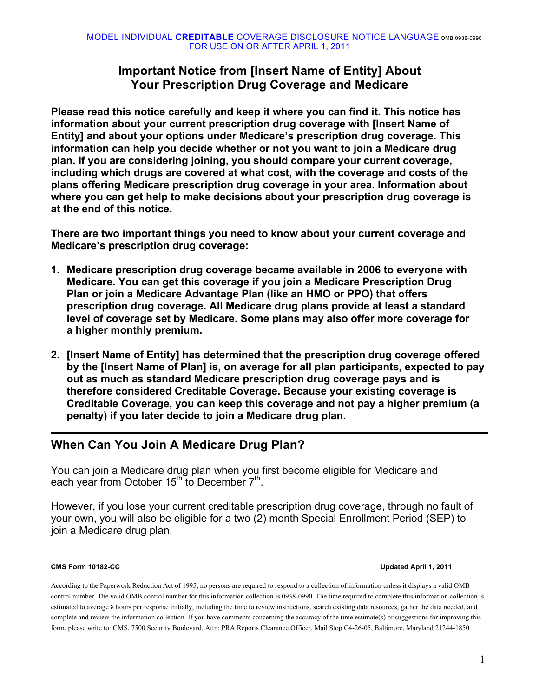### **Important Notice from [Insert Name of Entity] About Your Prescription Drug Coverage and Medicare**

**Please read this notice carefully and keep it where you can find it. This notice has information about your current prescription drug coverage with [Insert Name of Entity] and about your options under Medicare's prescription drug coverage. This information can help you decide whether or not you want to join a Medicare drug plan. If you are considering joining, you should compare your current coverage, including which drugs are covered at what cost, with the coverage and costs of the plans offering Medicare prescription drug coverage in your area. Information about where you can get help to make decisions about your prescription drug coverage is at the end of this notice.**

**There are two important things you need to know about your current coverage and Medicare's prescription drug coverage:**

- **1. Medicare prescription drug coverage became available in 2006 to everyone with Medicare. You can get this coverage if you join a Medicare Prescription Drug Plan or join a Medicare Advantage Plan (like an HMO or PPO) that offers prescription drug coverage. All Medicare drug plans provide at least a standard level of coverage set by Medicare. Some plans may also offer more coverage for a higher monthly premium.**
- **2. [Insert Name of Entity] has determined that the prescription drug coverage offered by the [Insert Name of Plan] is, on average for all plan participants, expected to pay out as much as standard Medicare prescription drug coverage pays and is therefore considered Creditable Coverage. Because your existing coverage is Creditable Coverage, you can keep this coverage and not pay a higher premium (a penalty) if you later decide to join a Medicare drug plan.**

### **When Can You Join A Medicare Drug Plan?**

You can join a Medicare drug plan when you first become eligible for Medicare and each year from October  $15<sup>th</sup>$  to December  $7<sup>th</sup>$ .

However, if you lose your current creditable prescription drug coverage, through no fault of your own, you will also be eligible for a two (2) month Special Enrollment Period (SEP) to join a Medicare drug plan.

### **CMS Form 10182-CC Updated April 1, 2011**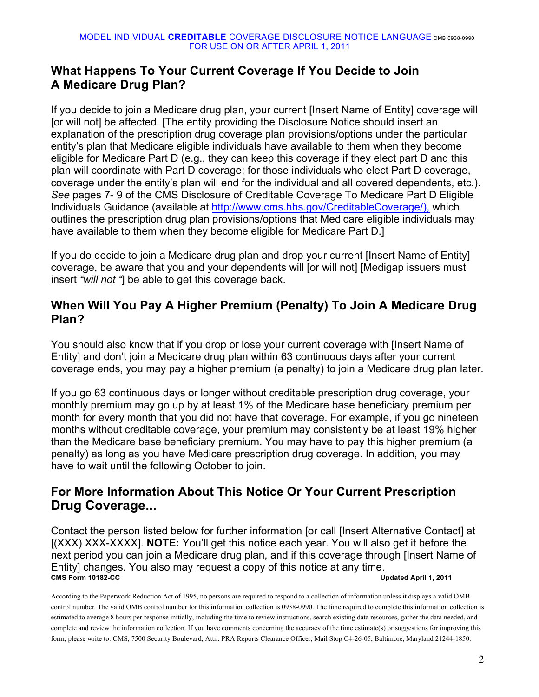# **What Happens To Your Current Coverage If You Decide to Join A Medicare Drug Plan?**

If you decide to join a Medicare drug plan, your current [Insert Name of Entity] coverage will [or will not] be affected. [The entity providing the Disclosure Notice should insert an explanation of the prescription drug coverage plan provisions/options under the particular entity's plan that Medicare eligible individuals have available to them when they become eligible for Medicare Part D (e.g., they can keep this coverage if they elect part D and this plan will coordinate with Part D coverage; for those individuals who elect Part D coverage, coverage under the entity's plan will end for the individual and all covered dependents, etc.). *See* pages 7- 9 of the CMS Disclosure of Creditable Coverage To Medicare Part D Eligible Individuals Guidance (available at http://www.cms.hhs.gov/CreditableCoverage/), which outlines the prescription drug plan provisions/options that Medicare eligible individuals may have available to them when they become eligible for Medicare Part D.]

If you do decide to join a Medicare drug plan and drop your current [Insert Name of Entity] coverage, be aware that you and your dependents will [or will not] [Medigap issuers must insert *"will not "*] be able to get this coverage back.

## **When Will You Pay A Higher Premium (Penalty) To Join A Medicare Drug Plan?**

You should also know that if you drop or lose your current coverage with [Insert Name of Entity] and don't join a Medicare drug plan within 63 continuous days after your current coverage ends, you may pay a higher premium (a penalty) to join a Medicare drug plan later.

If you go 63 continuous days or longer without creditable prescription drug coverage, your monthly premium may go up by at least 1% of the Medicare base beneficiary premium per month for every month that you did not have that coverage. For example, if you go nineteen months without creditable coverage, your premium may consistently be at least 19% higher than the Medicare base beneficiary premium. You may have to pay this higher premium (a penalty) as long as you have Medicare prescription drug coverage. In addition, you may have to wait until the following October to join.

# **For More Information About This Notice Or Your Current Prescription Drug Coverage...**

Contact the person listed below for further information [or call [Insert Alternative Contact] at [(XXX) XXX-XXXX]. **NOTE:** You'll get this notice each year. You will also get it before the next period you can join a Medicare drug plan, and if this coverage through [Insert Name of Entity] changes. You also may request a copy of this notice at any time. **Updated April 1, 2011**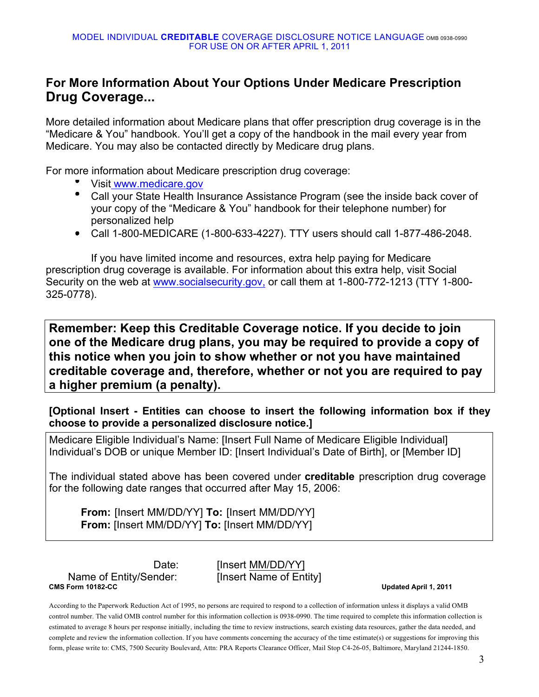# **For More Information About Your Options Under Medicare Prescription Drug Coverage...**

More detailed information about Medicare plans that offer prescription drug coverage is in the "Medicare & You" handbook. You'll get a copy of the handbook in the mail every year from Medicare. You may also be contacted directly by Medicare drug plans.

For more information about Medicare prescription drug coverage:

- Visit www.medicare.gov
- Call your State Health Insurance Assistance Program (see the inside back cover of your copy of the "Medicare & You" handbook for their telephone number) for personalized help
- Call 1-800-MEDICARE (1-800-633-4227). TTY users should call 1-877-486-2048.

If you have limited income and resources, extra help paying for Medicare prescription drug coverage is available. For information about this extra help, visit Social Security on the web at www.socialsecurity.gov, or call them at 1-800-772-1213 (TTY 1-800-325-0778).

**Remember: Keep this Creditable Coverage notice. If you decide to join one of the Medicare drug plans, you may be required to provide a copy of this notice when you join to show whether or not you have maintained creditable coverage and, therefore, whether or not you are required to pay a higher premium (a penalty).**

**[Optional Insert - Entities can choose to insert the following information box if they choose to provide a personalized disclosure notice.]**

Medicare Eligible Individual's Name: [Insert Full Name of Medicare Eligible Individual] Individual's DOB or unique Member ID: [Insert Individual's Date of Birth], or [Member ID]

The individual stated above has been covered under **creditable** prescription drug coverage for the following date ranges that occurred after May 15, 2006:

**From:** [Insert MM/DD/YY] **To:** [Insert MM/DD/YY] **From:** [Insert MM/DD/YY] **To:** [Insert MM/DD/YY]

Name of Entity/Sender: [Insert Name of Entity] **CMS Form 10182-CC Updated April 1, 2011**

Date: [Insert MM/DD/YY]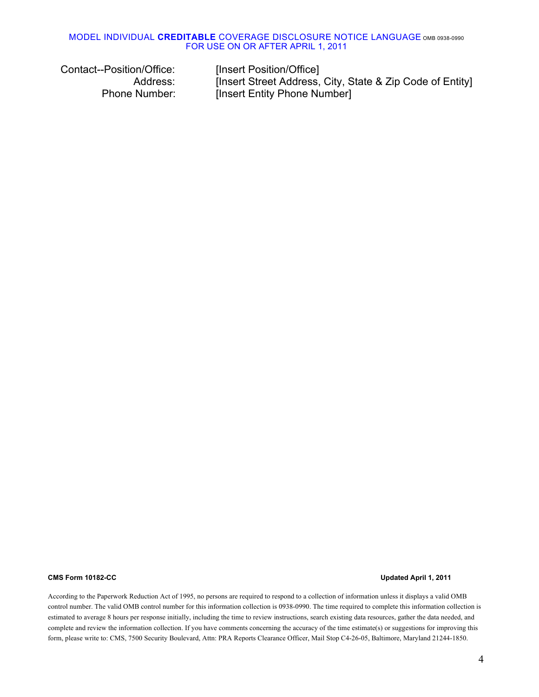### MODEL INDIVIDUAL **CREDITABLE** COVERAGE DISCLOSURE NOTICE LANGUAGE OMB 0938-0990 FOR USE ON OR AFTER APRIL 1, 2011

Contact--Position/Office: [Insert Position/Office]

Address: [Insert Street Address, City, State & Zip Code of Entity] Phone Number: [Insert Entity Phone Number]

### **CMS Form 10182-CC Updated April 1, 2011**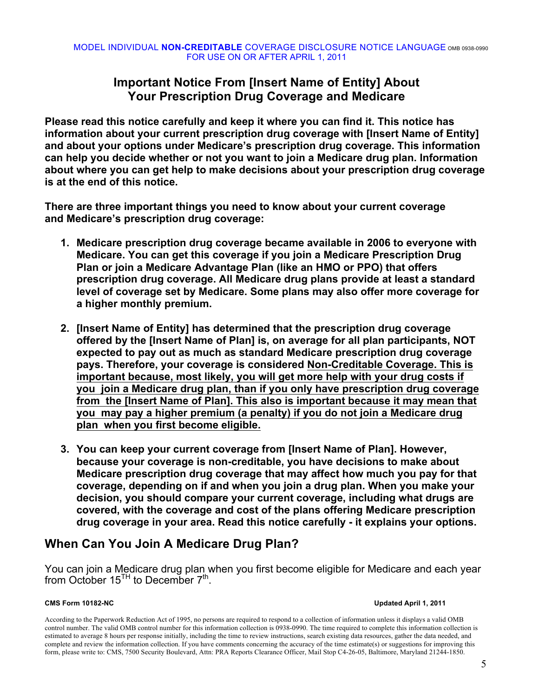### **Important Notice From [Insert Name of Entity] About Your Prescription Drug Coverage and Medicare**

**Please read this notice carefully and keep it where you can find it. This notice has information about your current prescription drug coverage with [Insert Name of Entity] and about your options under Medicare's prescription drug coverage. This information can help you decide whether or not you want to join a Medicare drug plan. Information about where you can get help to make decisions about your prescription drug coverage is at the end of this notice.**

**There are three important things you need to know about your current coverage and Medicare's prescription drug coverage:**

- **1. Medicare prescription drug coverage became available in 2006 to everyone with Medicare. You can get this coverage if you join a Medicare Prescription Drug Plan or join a Medicare Advantage Plan (like an HMO or PPO) that offers prescription drug coverage. All Medicare drug plans provide at least a standard level of coverage set by Medicare. Some plans may also offer more coverage for a higher monthly premium.**
- **2. [Insert Name of Entity] has determined that the prescription drug coverage offered by the [Insert Name of Plan] is, on average for all plan participants, NOT expected to pay out as much as standard Medicare prescription drug coverage pays. Therefore, your coverage is considered Non-Creditable Coverage. This is important because, most likely, you will get more help with your drug costs if you join a Medicare drug plan, than if you only have prescription drug coverage from the [Insert Name of Plan]. This also is important because it may mean that you may pay a higher premium (a penalty) if you do not join a Medicare drug plan when you first become eligible.**
- **3. You can keep your current coverage from [Insert Name of Plan]. However, because your coverage is non-creditable, you have decisions to make about Medicare prescription drug coverage that may affect how much you pay for that coverage, depending on if and when you join a drug plan. When you make your decision, you should compare your current coverage, including what drugs are covered, with the coverage and cost of the plans offering Medicare prescription drug coverage in your area. Read this notice carefully - it explains your options.**

# **When Can You Join A Medicare Drug Plan?**

You can join a Medicare drug plan when you first become eligible for Medicare and each year from October 15<sup>TH</sup> to December  $7<sup>th</sup>$ .

### **CMS Form 10182-NC Updated April 1, 2011**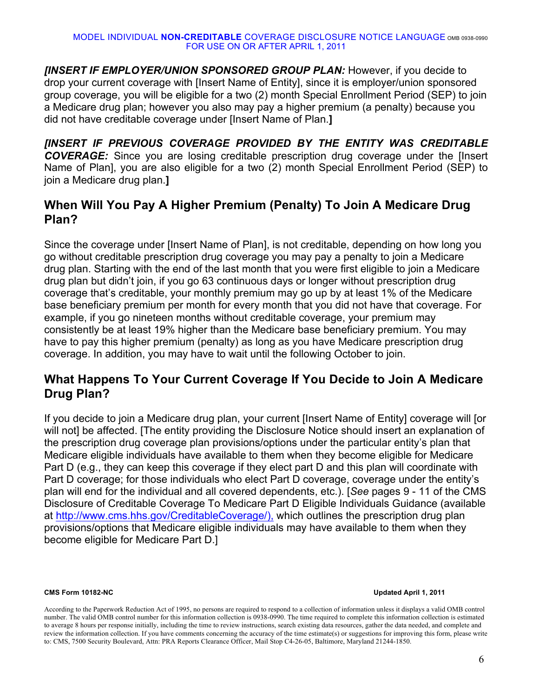*[INSERT IF EMPLOYER/UNION SPONSORED GROUP PLAN: However, if you decide to* drop your current coverage with [Insert Name of Entity], since it is employer/union sponsored group coverage, you will be eligible for a two (2) month Special Enrollment Period (SEP) to join a Medicare drug plan; however you also may pay a higher premium (a penalty) because you did not have creditable coverage under [Insert Name of Plan.**]**

*[INSERT IF PREVIOUS COVERAGE PROVIDED BY THE ENTITY WAS CREDITABLE COVERAGE:* Since you are losing creditable prescription drug coverage under the [Insert Name of Plan], you are also eligible for a two (2) month Special Enrollment Period (SEP) to join a Medicare drug plan.**]**

### **When Will You Pay A Higher Premium (Penalty) To Join A Medicare Drug Plan?**

Since the coverage under [Insert Name of Plan], is not creditable, depending on how long you go without creditable prescription drug coverage you may pay a penalty to join a Medicare drug plan. Starting with the end of the last month that you were first eligible to join a Medicare drug plan but didn't join, if you go 63 continuous days or longer without prescription drug coverage that's creditable, your monthly premium may go up by at least 1% of the Medicare base beneficiary premium per month for every month that you did not have that coverage. For example, if you go nineteen months without creditable coverage, your premium may consistently be at least 19% higher than the Medicare base beneficiary premium. You may have to pay this higher premium (penalty) as long as you have Medicare prescription drug coverage. In addition, you may have to wait until the following October to join.

# **What Happens To Your Current Coverage If You Decide to Join A Medicare Drug Plan?**

If you decide to join a Medicare drug plan, your current [Insert Name of Entity] coverage will [or will not] be affected. [The entity providing the Disclosure Notice should insert an explanation of the prescription drug coverage plan provisions/options under the particular entity's plan that Medicare eligible individuals have available to them when they become eligible for Medicare Part D (e.g., they can keep this coverage if they elect part D and this plan will coordinate with Part D coverage; for those individuals who elect Part D coverage, coverage under the entity's plan will end for the individual and all covered dependents, etc.). [*See* pages 9 - 11 of the CMS Disclosure of Creditable Coverage To Medicare Part D Eligible Individuals Guidance (available at http://www.cms.hhs.gov/CreditableCoverage/), which outlines the prescription drug plan provisions/options that Medicare eligible individuals may have available to them when they become eligible for Medicare Part D.]

**CMS Form 10182-NC Updated April 1, 2011**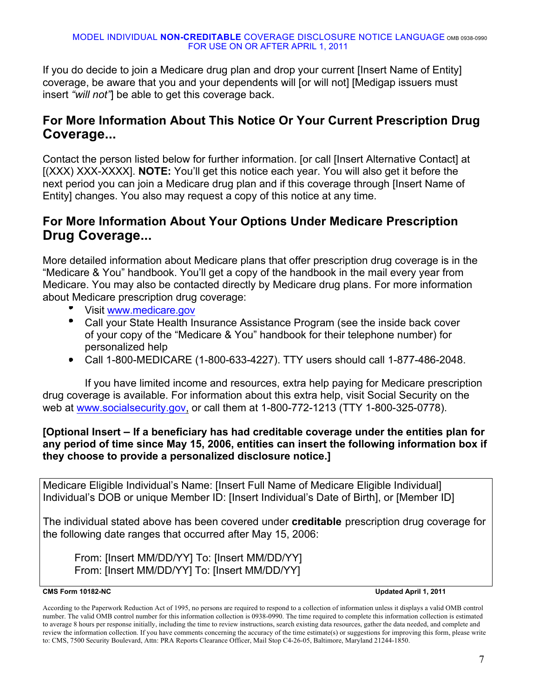If you do decide to join a Medicare drug plan and drop your current [Insert Name of Entity] coverage, be aware that you and your dependents will [or will not] [Medigap issuers must insert *"will not"*] be able to get this coverage back.

# **For More Information About This Notice Or Your Current Prescription Drug Coverage...**

Contact the person listed below for further information. [or call [Insert Alternative Contact] at [(XXX) XXX-XXXX]. **NOTE:** You'll get this notice each year. You will also get it before the next period you can join a Medicare drug plan and if this coverage through [Insert Name of Entity] changes. You also may request a copy of this notice at any time.

# **For More Information About Your Options Under Medicare Prescription Drug Coverage...**

More detailed information about Medicare plans that offer prescription drug coverage is in the "Medicare & You" handbook. You'll get a copy of the handbook in the mail every year from Medicare. You may also be contacted directly by Medicare drug plans. For more information about Medicare prescription drug coverage:

- Visit www.medicare.gov
- Call your State Health Insurance Assistance Program (see the inside back cover of your copy of the "Medicare & You" handbook for their telephone number) for personalized help
- Call 1-800-MEDICARE (1-800-633-4227). TTY users should call 1-877-486-2048.

If you have limited income and resources, extra help paying for Medicare prescription drug coverage is available. For information about this extra help, visit Social Security on the web at www.socialsecurity.gov, or call them at 1-800-772-1213 (TTY 1-800-325-0778).

### **[Optional Insert – If a beneficiary has had creditable coverage under the entities plan for any period of time since May 15, 2006, entities can insert the following information box if they choose to provide a personalized disclosure notice.]**

Medicare Eligible Individual's Name: [Insert Full Name of Medicare Eligible Individual] Individual's DOB or unique Member ID: [Insert Individual's Date of Birth], or [Member ID]

The individual stated above has been covered under **creditable** prescription drug coverage for the following date ranges that occurred after May 15, 2006:

From: [Insert MM/DD/YY] To: [Insert MM/DD/YY] From: [Insert MM/DD/YY] To: [Insert MM/DD/YY]

### **CMS Form 10182-NC Updated April 1, 2011**

According to the Paperwork Reduction Act of 1995, no persons are required to respond to a collection of information unless it displays a valid OMB control number. The valid OMB control number for this information collection is 0938-0990. The time required to complete this information collection is estimated to average 8 hours per response initially, including the time to review instructions, search existing data resources, gather the data needed, and complete and review the information collection. If you have comments concerning the accuracy of the time estimate(s) or suggestions for improving this form, please write to: CMS, 7500 Security Boulevard, Attn: PRA Reports Clearance Officer, Mail Stop C4-26-05, Baltimore, Maryland 21244-1850.